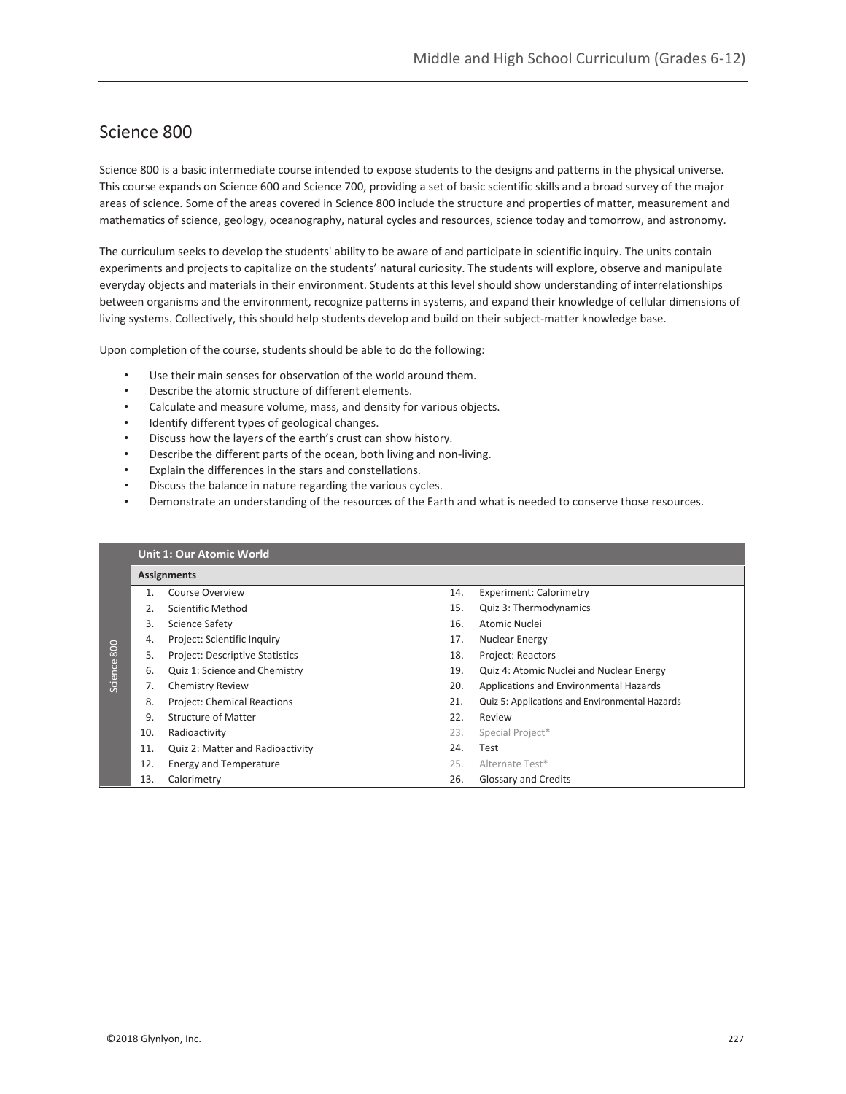## Science 800

Science 800 is a basic intermediate course intended to expose students to the designs and patterns in the physical universe. This course expands on Science 600 and Science 700, providing a set of basic scientific skills and a broad survey of the major areas of science. Some of the areas covered in Science 800 include the structure and properties of matter, measurement and mathematics of science, geology, oceanography, natural cycles and resources, science today and tomorrow, and astronomy.

The curriculum seeks to develop the students' ability to be aware of and participate in scientific inquiry. The units contain experiments and projects to capitalize on the students' natural curiosity. The students will explore, observe and manipulate everyday objects and materials in their environment. Students at this level should show understanding of interrelationships between organisms and the environment, recognize patterns in systems, and expand their knowledge of cellular dimensions of living systems. Collectively, this should help students develop and build on their subject-matter knowledge base.

Upon completion of the course, students should be able to do the following:

- Use their main senses for observation of the world around them.
- Describe the atomic structure of different elements.
- Calculate and measure volume, mass, and density for various objects.
- Identify different types of geological changes.
- Discuss how the layers of the earth's crust can show history.
- Describe the different parts of the ocean, both living and non-living.
- Explain the differences in the stars and constellations.
- Discuss the balance in nature regarding the various cycles.
- Demonstrate an understanding of the resources of the Earth and what is needed to conserve those resources.

|         |     | <b>Unit 1: Our Atomic World</b>    |     |                                                |  |  |  |
|---------|-----|------------------------------------|-----|------------------------------------------------|--|--|--|
|         |     | <b>Assignments</b>                 |     |                                                |  |  |  |
|         |     | <b>Course Overview</b>             | 14. | <b>Experiment: Calorimetry</b>                 |  |  |  |
|         | 2.  | Scientific Method                  | 15. | Quiz 3: Thermodynamics                         |  |  |  |
|         | 3.  | <b>Science Safety</b>              | 16. | Atomic Nuclei                                  |  |  |  |
|         | 4.  | Project: Scientific Inquiry        | 17. | <b>Nuclear Energy</b>                          |  |  |  |
| 800     | 5.  | Project: Descriptive Statistics    | 18. | <b>Project: Reactors</b>                       |  |  |  |
| Science | 6.  | Quiz 1: Science and Chemistry      | 19. | Quiz 4: Atomic Nuclei and Nuclear Energy       |  |  |  |
|         | 7.  | <b>Chemistry Review</b>            | 20. | Applications and Environmental Hazards         |  |  |  |
|         | 8.  | <b>Project: Chemical Reactions</b> | 21. | Quiz 5: Applications and Environmental Hazards |  |  |  |
|         | 9.  | Structure of Matter                | 22. | Review                                         |  |  |  |
|         | 10. | Radioactivity                      | 23. | Special Project*                               |  |  |  |
|         | 11. | Quiz 2: Matter and Radioactivity   | 24. | Test                                           |  |  |  |
|         | 12. | <b>Energy and Temperature</b>      | 25. | Alternate Test*                                |  |  |  |
|         | 13. | Calorimetry                        | 26. | Glossary and Credits                           |  |  |  |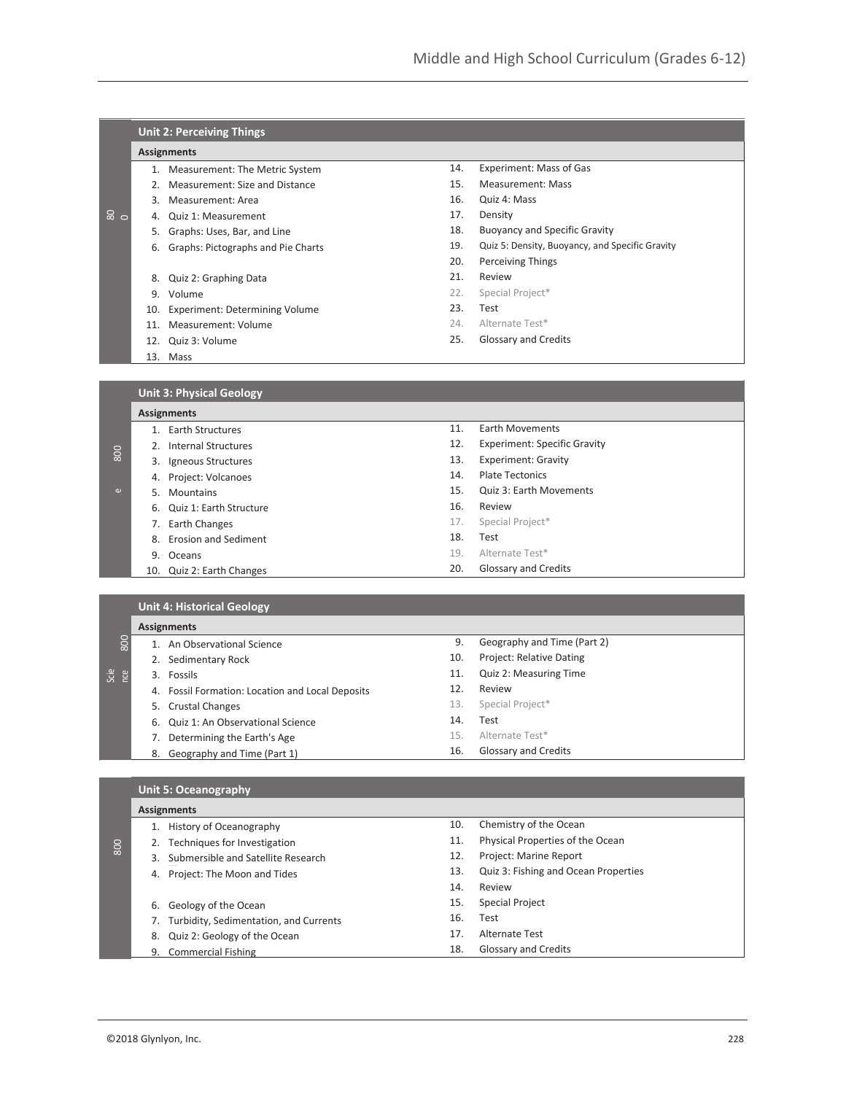|     |     | <b>Unit 2: Perceiving Things</b>   |     |                                                 |
|-----|-----|------------------------------------|-----|-------------------------------------------------|
|     |     | <b>Assignments</b>                 |     |                                                 |
|     | 1.  | Measurement: The Metric System     | 14. | Experiment: Mass of Gas                         |
|     | 2.  | Measurement: Size and Distance     | 15. | <b>Measurement: Mass</b>                        |
|     | 3.  | Measurement: Area                  | 16. | Quiz 4: Mass                                    |
| ౚఀఄ | 4.  | Quiz 1: Measurement                | 17. | Density                                         |
|     | 5.  | Graphs: Uses, Bar, and Line        | 18. | <b>Buoyancy and Specific Gravity</b>            |
|     | 6.  | Graphs: Pictographs and Pie Charts | 19. | Quiz 5: Density, Buoyancy, and Specific Gravity |
|     |     |                                    | 20. | <b>Perceiving Things</b>                        |
|     | 8.  | Quiz 2: Graphing Data              | 21. | Review                                          |
|     | 9.  | Volume                             | 22. | Special Project*                                |
|     | 10. | Experiment: Determining Volume     | 23. | Test                                            |
|     | 11. | Measurement: Volume                | 24. | Alternate Test*                                 |
|     |     | 12. Quiz 3: Volume                 | 25. | Glossary and Credits                            |
|     |     | 13. Mass                           |     |                                                 |
|     |     |                                    |     |                                                 |
|     |     | <b>Unit 3: Physical Geology</b>    |     |                                                 |
|     |     | <b>Assignments</b>                 |     |                                                 |

|          | 1. Earth Structures        | 11. | <b>Earth Movements</b>              |
|----------|----------------------------|-----|-------------------------------------|
|          | 2. Internal Structures     | 12. | <b>Experiment: Specific Gravity</b> |
| 800      | 3. Igneous Structures      | 13. | <b>Experiment: Gravity</b>          |
|          | 4. Project: Volcanoes      | 14. | <b>Plate Tectonics</b>              |
| $\omega$ | 5. Mountains               | 15. | Quiz 3: Earth Movements             |
|          | 6. Quiz 1: Earth Structure | 16. | Review                              |
|          | 7. Earth Changes           | 17. | Special Project*                    |
|          | 8. Erosion and Sediment    | 18. | Test                                |
|          | 9. Oceans                  | 19. | Alternate Test*                     |
|          | 10. Quiz 2: Earth Changes  | 20. | <b>Glossary and Credits</b>         |

|             | <b>Unit 4: Historical Geology</b>                   |     |                             |  |
|-------------|-----------------------------------------------------|-----|-----------------------------|--|
|             | <b>Assignments</b>                                  |     |                             |  |
| 800         | An Observational Science                            | 9.  | Geography and Time (Part 2) |  |
|             | Sedimentary Rock                                    | 10. | Project: Relative Dating    |  |
| Scie<br>nce | 3. Fossils                                          | 11. | Quiz 2: Measuring Time      |  |
|             | Fossil Formation: Location and Local Deposits<br>4. | 12. | Review                      |  |
|             | 5. Crustal Changes                                  | 13. | Special Project*            |  |
|             | 6. Quiz 1: An Observational Science                 | 14. | Test                        |  |
|             | Determining the Earth's Age                         | 15. | Alternate Test*             |  |
|             | Geography and Time (Part 1)<br>8.                   | 16. | <b>Glossary and Credits</b> |  |

## **Unit 5: Oceanography**

|     | <b>Assignments</b>                       |     |                                      |
|-----|------------------------------------------|-----|--------------------------------------|
|     | History of Oceanography                  | 10. | Chemistry of the Ocean               |
| 800 | Techniques for Investigation             | 11. | Physical Properties of the Ocean     |
|     | Submersible and Satellite Research<br>3. | 12. | Project: Marine Report               |
|     | Project: The Moon and Tides<br>4.        | 13. | Quiz 3: Fishing and Ocean Properties |
|     |                                          | 14. | Review                               |
|     | Geology of the Ocean<br>6.               | 15. | <b>Special Project</b>               |
|     | Turbidity, Sedimentation, and Currents   | 16. | Test                                 |
|     | Quiz 2: Geology of the Ocean<br>8.       | 17. | Alternate Test                       |
|     | 9. Commercial Fishing                    | 18. | Glossary and Credits                 |
|     |                                          |     |                                      |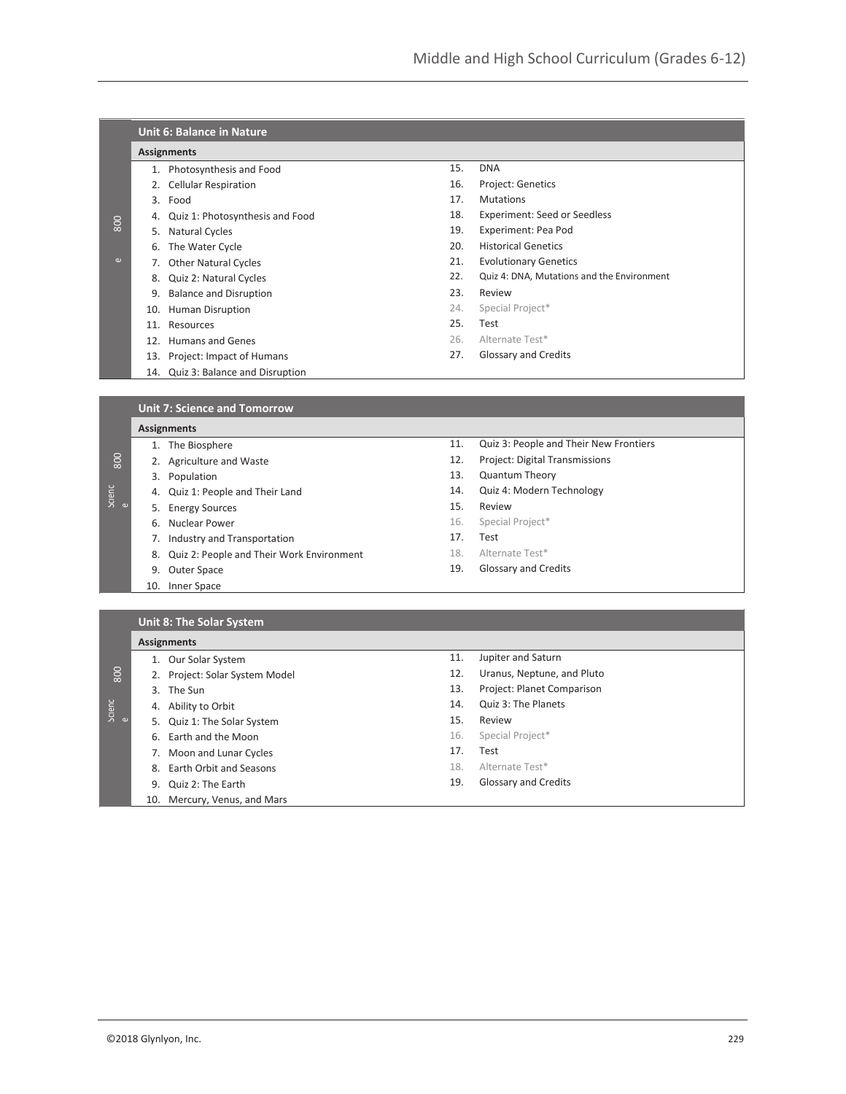|          |                    | <b>Unit 6: Balance in Nature</b>    |     |                                            |  |
|----------|--------------------|-------------------------------------|-----|--------------------------------------------|--|
|          | <b>Assignments</b> |                                     |     |                                            |  |
|          |                    | 1. Photosynthesis and Food          | 15. | <b>DNA</b>                                 |  |
|          |                    | 2. Cellular Respiration             | 16. | Project: Genetics                          |  |
|          | 3.                 | Food                                | 17. | <b>Mutations</b>                           |  |
|          | 4.                 | Quiz 1: Photosynthesis and Food     | 18. | <b>Experiment: Seed or Seedless</b>        |  |
| 800      | 5.                 | Natural Cycles                      | 19. | Experiment: Pea Pod                        |  |
|          | 6.                 | The Water Cycle                     | 20. | <b>Historical Genetics</b>                 |  |
| $\omega$ | 7.                 | <b>Other Natural Cycles</b>         | 21. | <b>Evolutionary Genetics</b>               |  |
|          | 8.                 | Quiz 2: Natural Cycles              | 22. | Quiz 4: DNA, Mutations and the Environment |  |
|          | 9.                 | <b>Balance and Disruption</b>       | 23. | Review                                     |  |
|          | 10.                | Human Disruption                    | 24. | Special Project*                           |  |
|          | 11.                | Resources                           | 25. | Test                                       |  |
|          | 12.                | Humans and Genes                    | 26. | Alternate Test*                            |  |
|          | 13.                | Project: Impact of Humans           | 27. | Glossary and Credits                       |  |
|          | 14.                | Quiz 3: Balance and Disruption      |     |                                            |  |
|          |                    |                                     |     |                                            |  |
|          |                    | <b>Unit 7: Science and Tomorrow</b> |     |                                            |  |
|          |                    | <b>Assignments</b>                  |     |                                            |  |
|          |                    | 1. The Biosphere                    | 11. | Quiz 3: People and Their New Frontiers     |  |

| 800         |    | 2. Agriculture and Waste                     | 12. | Project: Digital Transmissions |
|-------------|----|----------------------------------------------|-----|--------------------------------|
|             |    | 3. Population                                | 13. | <b>Quantum Theory</b>          |
| Scienc<br>e |    | 4. Quiz 1: People and Their Land             | 14. | Quiz 4: Modern Technology      |
|             |    | 5. Energy Sources                            | 15. | Review                         |
|             | 6. | Nuclear Power                                | 16. | Special Project*               |
|             |    | 7. Industry and Transportation               | 17. | Test                           |
|             |    | 8. Quiz 2: People and Their Work Environment | 18. | Alternate Test*                |
|             |    | 9. Outer Space                               | 19. | Glossary and Credits           |
|             |    | 10. Inner Space                              |     |                                |

## **Unit 8: The Solar System**

|                | <b>Assignments</b>                |     |                            |
|----------------|-----------------------------------|-----|----------------------------|
|                | 1. Our Solar System               | 11. | Jupiter and Saturn         |
| $\frac{80}{2}$ | Project: Solar System Model<br>2. | 12. | Uranus, Neptune, and Pluto |
|                | The Sun<br>3.                     | 13. | Project: Planet Comparison |
| Scienc<br>e    | Ability to Orbit<br>4.            | 14. | Quiz 3: The Planets        |
|                | 5. Quiz 1: The Solar System       | 15. | Review                     |
|                | Earth and the Moon<br>6.          | 16. | Special Project*           |
|                | Moon and Lunar Cycles             | 17. | Test                       |
|                | Earth Orbit and Seasons<br>8.     | 18. | Alternate Test*            |
|                | Quiz 2: The Earth<br>9.           | 19. | Glossary and Credits       |
|                | 10. Mercury, Venus, and Mars      |     |                            |